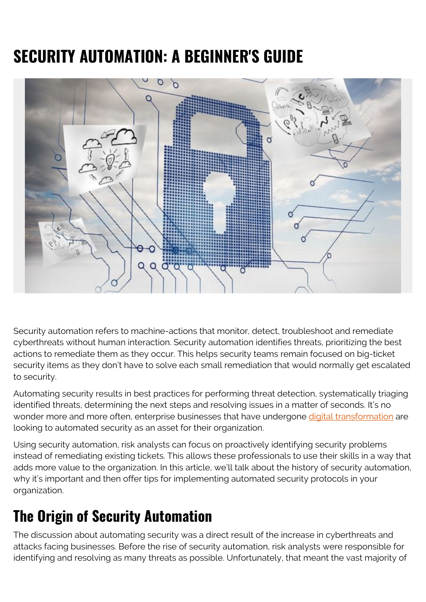# **SECURITY AUTOMATION: A BEGINNER'S GUIDE**



Security automation refers to machine-actions that monitor, detect, troubleshoot and remediate cyberthreats without human interaction. Security automation identifies threats, prioritizing the best actions to remediate them as they occur. This helps security teams remain focused on big-ticket security items as they don't have to solve each small remediation that would normally get escalated to security.

Automating security results in best practices for performing threat detection, systematically triaging identified threats, determining the next steps and resolving issues in a matter of seconds. It's no wonder more and more often, enterprise businesses that have undergone [digital transformation](https://blogs.bmc.com/blogs/what-is-digital-transformation/) are looking to automated security as an asset for their organization.

Using security automation, risk analysts can focus on proactively identifying security problems instead of remediating existing tickets. This allows these professionals to use their skills in a way that adds more value to the organization. In this article, we'll talk about the history of security automation, why it's important and then offer tips for implementing automated security protocols in your organization.

## **The Origin of Security Automation**

The discussion about automating security was a direct result of the increase in cyberthreats and attacks facing businesses. Before the rise of security automation, risk analysts were responsible for identifying and resolving as many threats as possible. Unfortunately, that meant the vast majority of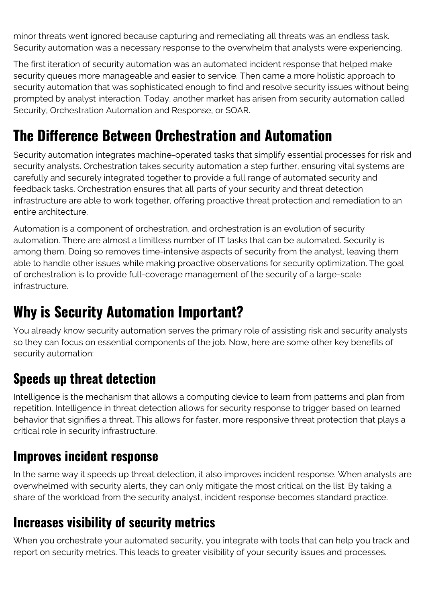minor threats went ignored because capturing and remediating all threats was an endless task. Security automation was a necessary response to the overwhelm that analysts were experiencing.

The first iteration of security automation was an automated incident response that helped make security queues more manageable and easier to service. Then came a more holistic approach to security automation that was sophisticated enough to find and resolve security issues without being prompted by analyst interaction. Today, another market has arisen from security automation called Security, Orchestration Automation and Response, or SOAR.

### **The Difference Between Orchestration and Automation**

Security automation integrates machine-operated tasks that simplify essential processes for risk and security analysts. Orchestration takes security automation a step further, ensuring vital systems are carefully and securely integrated together to provide a full range of automated security and feedback tasks. Orchestration ensures that all parts of your security and threat detection infrastructure are able to work together, offering proactive threat protection and remediation to an entire architecture.

Automation is a component of orchestration, and orchestration is an evolution of security automation. There are almost a limitless number of IT tasks that can be automated. Security is among them. Doing so removes time-intensive aspects of security from the analyst, leaving them able to handle other issues while making proactive observations for security optimization. The goal of orchestration is to provide full-coverage management of the security of a large-scale infrastructure.

### **Why is Security Automation Important?**

You already know security automation serves the primary role of assisting risk and security analysts so they can focus on essential components of the job. Now, here are some other key benefits of security automation:

### **Speeds up threat detection**

Intelligence is the mechanism that allows a computing device to learn from patterns and plan from repetition. Intelligence in threat detection allows for security response to trigger based on learned behavior that signifies a threat. This allows for faster, more responsive threat protection that plays a critical role in security infrastructure.

#### **Improves incident response**

In the same way it speeds up threat detection, it also improves incident response. When analysts are overwhelmed with security alerts, they can only mitigate the most critical on the list. By taking a share of the workload from the security analyst, incident response becomes standard practice.

#### **Increases visibility of security metrics**

When you orchestrate your automated security, you integrate with tools that can help you track and report on security metrics. This leads to greater visibility of your security issues and processes.